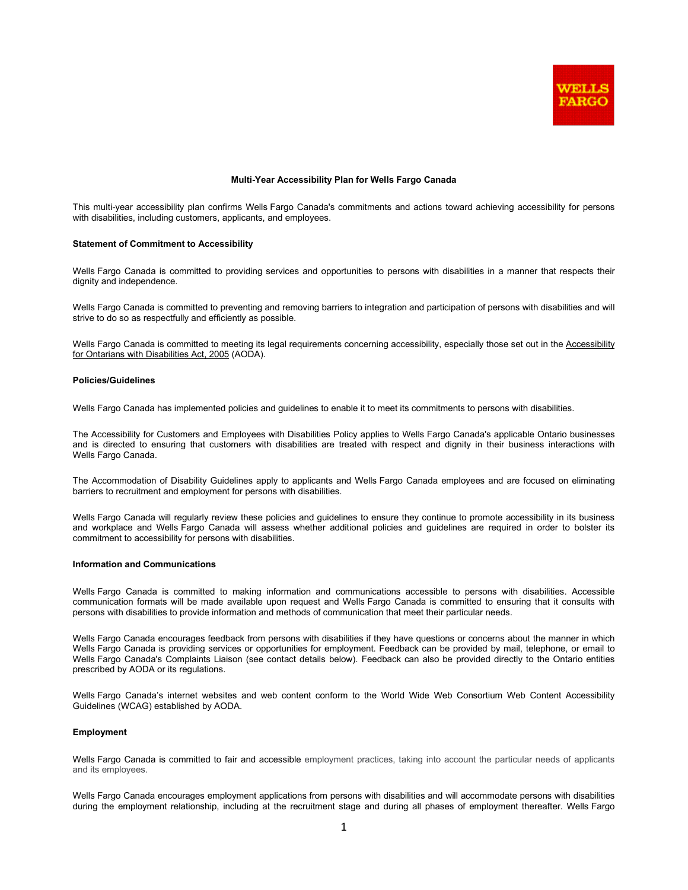

### **Multi-Year Accessibility Plan for Wells Fargo Canada**

This multi-year accessibility plan confirms Wells Fargo Canada's commitments and actions toward achieving accessibility for persons with disabilities, including customers, applicants, and employees.

#### **Statement of Commitment to Accessibility**

Wells Fargo Canada is committed to providing services and opportunities to persons with disabilities in a manner that respects their dignity and independence.

Wells Fargo Canada is committed to preventing and removing barriers to integration and participation of persons with disabilities and will strive to do so as respectfully and efficiently as possible.

Wells Fargo Canada is committed to meeting its legal requirements concerning accessibility, especially those set out in the Accessibility for Ontarians with Disabilities Act, 2005 (AODA).

# **Policies/Guidelines**

Wells Fargo Canada has implemented policies and guidelines to enable it to meet its commitments to persons with disabilities.

The Accessibility for Customers and Employees with Disabilities Policy applies to Wells Fargo Canada's applicable Ontario businesses and is directed to ensuring that customers with disabilities are treated with respect and dignity in their business interactions with Wells Fargo Canada.

The Accommodation of Disability Guidelines apply to applicants and Wells Fargo Canada employees and are focused on eliminating barriers to recruitment and employment for persons with disabilities.

Wells Fargo Canada will regularly review these policies and guidelines to ensure they continue to promote accessibility in its business and workplace and Wells Fargo Canada will assess whether additional policies and guidelines are required in order to bolster its commitment to accessibility for persons with disabilities.

# **Information and Communications**

Wells Fargo Canada is committed to making information and communications accessible to persons with disabilities. Accessible communication formats will be made available upon request and Wells Fargo Canada is committed to ensuring that it consults with persons with disabilities to provide information and methods of communication that meet their particular needs.

Wells Fargo Canada encourages feedback from persons with disabilities if they have questions or concerns about the manner in which Wells Fargo Canada is providing services or opportunities for employment. Feedback can be provided by mail, telephone, or email to Wells Fargo Canada's Complaints Liaison (see contact details below). Feedback can also be provided directly to the Ontario entities prescribed by AODA or its regulations.

Wells Fargo Canada's internet websites and web content conform to the World Wide Web Consortium Web Content Accessibility Guidelines (WCAG) established by AODA.

## **Employment**

Wells Fargo Canada is committed to fair and accessible employment practices, taking into account the particular needs of applicants and its employees.

Wells Fargo Canada encourages employment applications from persons with disabilities and will accommodate persons with disabilities during the employment relationship, including at the recruitment stage and during all phases of employment thereafter. Wells Fargo